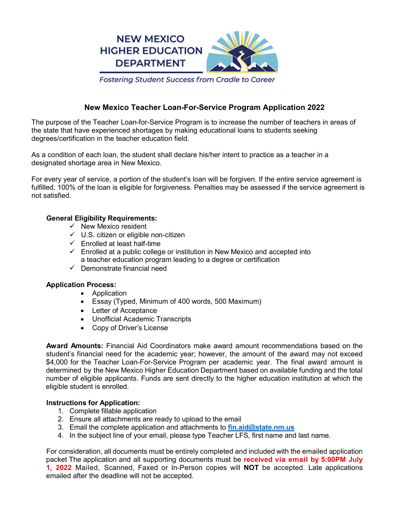

**Fostering Student Success from Cradle to Career** 

# **New Mexico Teacher Loan-For-Service Program Application 2022**

The purpose of the Teacher Loan-for-Service Program is to increase the number of teachers in areas of the state that have experienced shortages by making educational loans to students seeking degrees/certification in the teacher education field.

As a condition of each loan, the student shall declare his/her intent to practice as a teacher in a designated shortage area in New Mexico.

For every year of service, a portion of the student's loan will be forgiven. If the entire service agreement is fulfilled, 100% of the loan is eligible for forgiveness. Penalties may be assessed if the service agreement is not satisfied.

## **General Eligibility Requirements:**

- $\checkmark$  New Mexico resident
- $\checkmark$  U.S. citizen or eligible non-citizen
- $\checkmark$  Enrolled at least half-time
- $\checkmark$  Enrolled at a public college or institution in New Mexico and accepted into a teacher education program leading to a degree or certification
- $\checkmark$  Demonstrate financial need

## **Application Process:**

- Application
- Essay (Typed, Minimum of 400 words, 500 Maximum)
- Letter of Acceptance
- Unofficial Academic Transcripts
- Copy of Driver's License

**Award Amounts:** Financial Aid Coordinators make award amount recommendations based on the student's financial need for the academic year; however, the amount of the award may not exceed \$4,000 for the Teacher Loan-For-Service Program per academic year. The final award amount is determined by the New Mexico Higher Education Department based on available funding and the total number of eligible applicants. Funds are sent directly to the higher education institution at which the eligible student is enrolled.

## **Instructions for Application:**

- 1. Complete fillable application
- 2. Ensure all attachments are ready to upload to the email
- 3. Email the complete application and attachments to **fin.aid@state.nm.us**
- 4. In the subject line of your email, please type Teacher LFS, first name and last name.

For consideration, all documents must be entirely completed and included with the emailed application packet The application and all supporting documents must be **received via email by 5:00PM July 1, 2022** Mailed, Scanned, Faxed or In-Person copies will **NOT** be accepted. Late applications emailed after the deadline will not be accepted.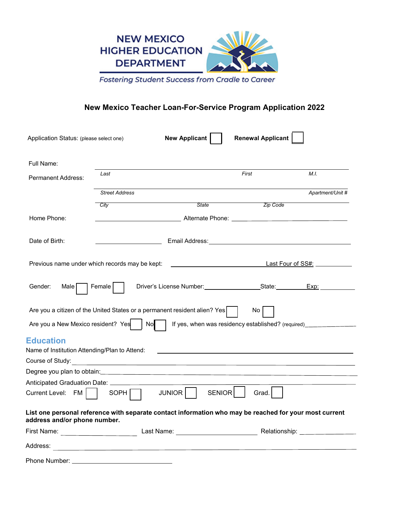

Fostering Student Success from Cradle to Career

# **New Mexico Teacher Loan-For-Service Program Application 2022**

| Application Status: (please select one)                           |                                                                                                                       | <b>New Applicant</b>    | <b>Renewal Applicant</b>                                                                                                                                                                                                       |                  |
|-------------------------------------------------------------------|-----------------------------------------------------------------------------------------------------------------------|-------------------------|--------------------------------------------------------------------------------------------------------------------------------------------------------------------------------------------------------------------------------|------------------|
| Full Name:                                                        |                                                                                                                       |                         |                                                                                                                                                                                                                                |                  |
| <b>Permanent Address:</b>                                         | Last                                                                                                                  |                         | First                                                                                                                                                                                                                          | M.L              |
|                                                                   | <b>Street Address</b>                                                                                                 |                         |                                                                                                                                                                                                                                | Apartment/Unit # |
|                                                                   | City                                                                                                                  | <b>State</b>            | Zip Code                                                                                                                                                                                                                       |                  |
| Home Phone:                                                       | __________________________________Alternate Phone: _____________________________                                      |                         |                                                                                                                                                                                                                                |                  |
| Date of Birth:                                                    |                                                                                                                       |                         | Email Address: No. 1996. The Contract of the Contract of the Contract of the Contract of the Contract of the Contract of the Contract of the Contract of the Contract of the Contract of the Contract of the Contract of the C |                  |
| Previous name under which records may be kept:                    |                                                                                                                       |                         |                                                                                                                                                                                                                                |                  |
| Gender:<br>Male                                                   | Female                                                                                                                |                         | Driver's License Number: State: Exp: Exp:                                                                                                                                                                                      |                  |
| Are you a New Mexico resident? Yes                                | Are you a citizen of the United States or a permanent resident alien? Yes<br>$\vert$ No $\vert$                       |                         | No l<br>If yes, when was residency established? (required)                                                                                                                                                                     |                  |
|                                                                   |                                                                                                                       |                         |                                                                                                                                                                                                                                |                  |
| <b>Education</b><br>Name of Institution Attending/Plan to Attend: |                                                                                                                       |                         |                                                                                                                                                                                                                                |                  |
| Course of Study:                                                  |                                                                                                                       |                         |                                                                                                                                                                                                                                |                  |
|                                                                   | <u> 1989 - Johann Stoff, deutscher Stoff, der Stoff, der Stoff, der Stoff, der Stoff, der Stoff, der Stoff, der S</u> |                         |                                                                                                                                                                                                                                |                  |
| Anticipated Graduation Date: __________                           |                                                                                                                       |                         |                                                                                                                                                                                                                                |                  |
| Current Level: FM                                                 | SOPH                                                                                                                  | <b>SENIOR</b><br>JUNIOR | Grad.                                                                                                                                                                                                                          |                  |
| address and/or phone number.                                      | List one personal reference with separate contact information who may be reached for your most current                |                         |                                                                                                                                                                                                                                |                  |
| First Name: _______________________                               |                                                                                                                       |                         |                                                                                                                                                                                                                                |                  |
| Address:                                                          |                                                                                                                       |                         |                                                                                                                                                                                                                                |                  |
| Phone Number:                                                     |                                                                                                                       |                         |                                                                                                                                                                                                                                |                  |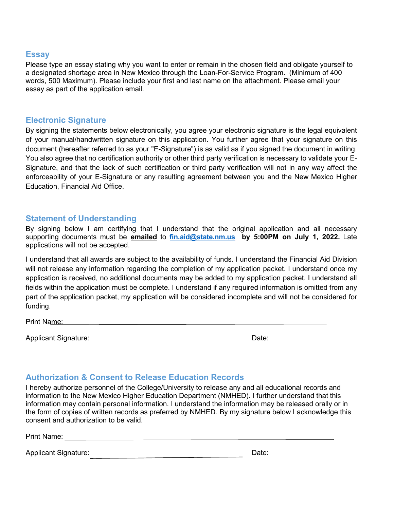## **Essay**

Please type an essay stating why you want to enter or remain in the chosen field and obligate yourself to a designated shortage area in New Mexico through the Loan-For-Service Program. (Minimum of 400 words, 500 Maximum). Please include your first and last name on the attachment. Please email your essay as part of the application email.

## **Electronic Signature**

By signing the statements below electronically, you agree your electronic signature is the legal equivalent of your manual/handwritten signature on this application. You further agree that your signature on this document (hereafter referred to as your "E-Signature") is as valid as if you signed the document in writing. You also agree that no certification authority or other third party verification is necessary to validate your E-Signature, and that the lack of such certification or third party verification will not in any way affect the enforceability of your E-Signature or any resulting agreement between you and the New Mexico Higher Education, Financial Aid Office.

## **Statement of Understanding**

By signing below I am certifying that I understand that the original application and all necessary supporting documents must be **emailed** to **[fin.aid@state.nm.us](mailto:fin.aid@state.nm.us) by 5:00PM on July 1, 2022.** Late applications will not be accepted.

I understand that all awards are subject to the availability of funds. I understand the Financial Aid Division will not release any information regarding the completion of my application packet. I understand once my application is received, no additional documents may be added to my application packet. I understand all fields within the application must be complete. I understand if any required information is omitted from any part of the application packet, my application will be considered incomplete and will not be considered for funding.

Print Name:

Applicant Signature: 2006. Applicant Signature: 2006. Applicant Signature: 2006.

|--|

# **Authorization & Consent to Release Education Records**

I hereby authorize personnel of the College/University to release any and all educational records and information to the New Mexico Higher Education Department (NMHED). I further understand that this information may contain personal information. I understand the information may be released orally or in the form of copies of written records as preferred by NMHED. By my signature below I acknowledge this consent and authorization to be valid.

Print Name: <u>\_\_\_\_\_\_\_\_\_\_\_\_\_\_\_\_\_\_\_\_\_\_\_\_\_\_\_\_\_\_\_\_\_\_</u>

Applicant Signature: Notified a state of the state of the Date: Note: Note: Note: Note: Note: Note: Note: Note: Note: Note: Note: Note: Note: Note: Note: Note: Note: Note: Note: Note: Note: Note: Note: Note: Note: Note: No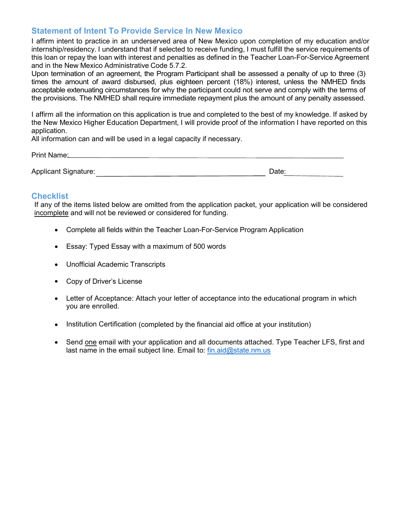# **Statement of Intent To Provide Service In New Mexico**

I affirm intent to practice in an underserved area of New Mexico upon completion of my education and/or internship/residency. I understand that if selected to receive funding, I must fulfill the service requirements of this loan or repay the loan with interest and penalties as defined in the Teacher Loan-For-Service Agreement and in the New Mexico Administrative Code 5.7.2.

Upon termination of an agreement, the Program Participant shall be assessed a penalty of up to three (3) times the amount of award disbursed, plus eighteen percent (18%) interest, unless the NMHED finds acceptable extenuating circumstances for why the participant could not serve and comply with the terms of the provisions. The NMHED shall require immediate repayment plus the amount of any penalty assessed.

I affirm all the information on this application is true and completed to the best of my knowledge. If asked by the New Mexico Higher Education Department, I will provide proof of the information I have reported on this application.

All information can and will be used in a legal capacity if necessary.

Print Name: **Example 2018 Print Name: Print Name: Print Name: Print Name: Print Name: Print Name: Print Name: Print Name: Print Name: Print Name: Print Name: Print Name: Print Name: Print Name:** 

Applicant Signature: <u>Date: Date: Date: Date: Date: Date: Date: Date: Date: Date: Date: Date: Date: Date: Date: Date: Date: Date: Date: Date: Date: Date: Date: Date: Date: Date: Date: Date: Date: Date: Date: Date: Date: Da</u>

## **Checklist**

If any of the items listed below are omitted from the application packet, your application will be considered incomplete and will not be reviewed or considered for funding.

- Complete all fields within the Teacher Loan-For-Service Program Application
- Essay: Typed Essay with a maximum of 500 words
- Unofficial Academic Transcripts
- Copy of Driver's License
- Letter of Acceptance: Attach your letter of acceptance into the educational program in which you are enrolled.
- Institution Certification (completed by the financial aid office at your institution)
- Send one email with your application and all documents attached. Type Teacher LFS, first and last name in the email subject line. Email to: fin.aid@state.nm.us